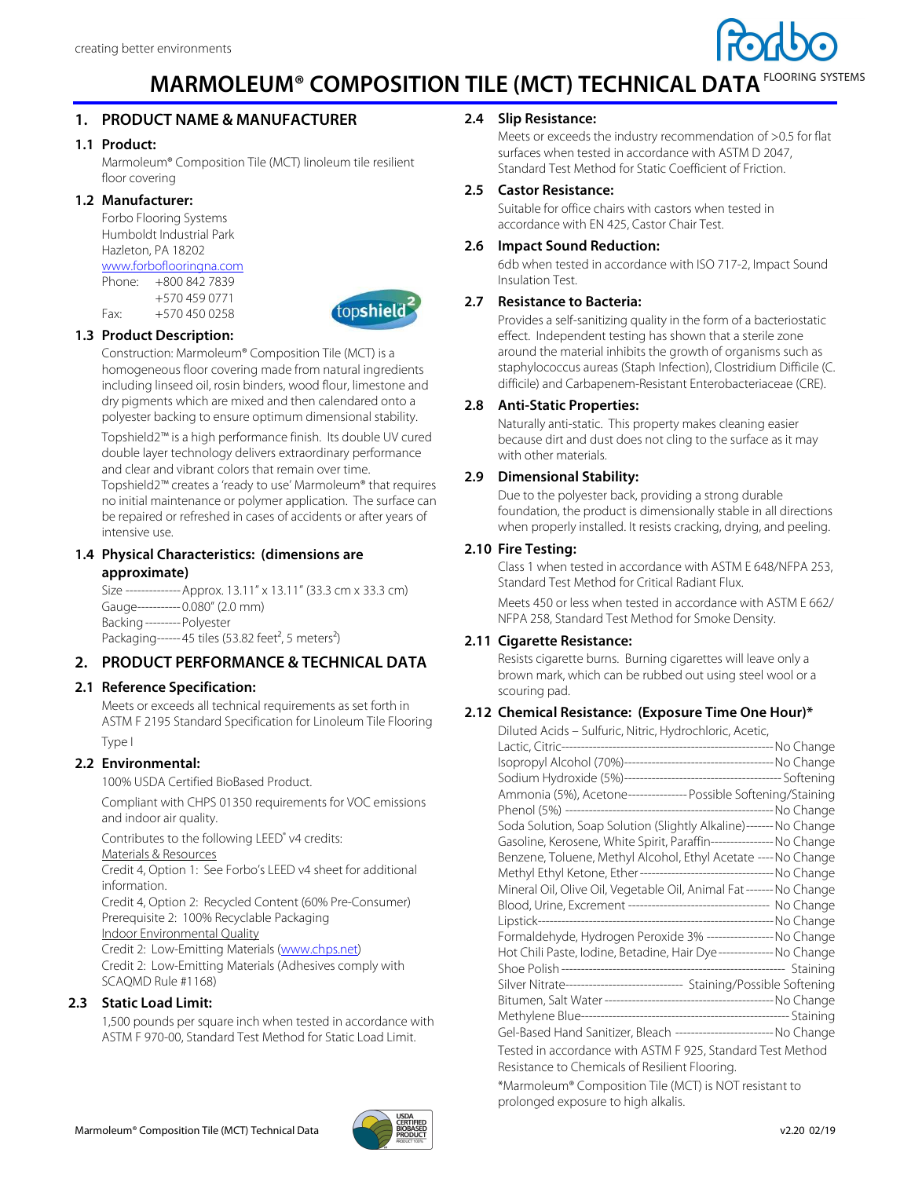

# **MARMOLEUM® COMPOSITION TILE (MCT) TECHNICAL DATA FLOORING SYSTEMS**

# **1. PRODUCT NAME & MANUFACTURER**

#### **1.1 Product:**

Marmoleum® Composition Tile (MCT) linoleum tile resilient floor covering

#### **1.2 Manufacturer:**

Forbo Flooring Systems Humboldt Industrial Park Hazleton, PA 18202 www.forboflooringna.com

Phone: +800 842 7839

 +570 459 0771 Fax: +570 450 0258



## **1.3 Product Description:**

Construction: Marmoleum® Composition Tile (MCT) is a homogeneous floor covering made from natural ingredients including linseed oil, rosin binders, wood flour, limestone and dry pigments which are mixed and then calendared onto a polyester backing to ensure optimum dimensional stability.

Topshield2™ is a high performance finish. Its double UV cured double layer technology delivers extraordinary performance and clear and vibrant colors that remain over time.

Topshield2™ creates a 'ready to use' Marmoleum® that requires no initial maintenance or polymer application. The surface can be repaired or refreshed in cases of accidents or after years of intensive use.

#### **1.4 Physical Characteristics: (dimensions are approximate)**

Size -------------- Approx. 13.11" x 13.11" (33.3 cm x 33.3 cm) Gauge ----------- 0.080" (2.0 mm) Backing --------- Polyester Packaging ------ 45 tiles (53.82 feet<sup>2</sup>, 5 meters<sup>2</sup>)

## **2. PRODUCT PERFORMANCE & TECHNICAL DATA**

#### **2.1 Reference Specification:**

Meets or exceeds all technical requirements as set forth in ASTM F 2195 Standard Specification for Linoleum Tile Flooring Type I

## **2.2 Environmental:**

100% USDA Certified BioBased Product.

Compliant with CHPS 01350 requirements for VOC emissions and indoor air quality.

Contributes to the following LEED<sup>®</sup> v4 credits: Materials & Resources

Credit 4, Option 1: See Forbo's LEED v4 sheet for additional information.

Credit 4, Option 2: Recycled Content (60% Pre-Consumer) Prerequisite 2: 100% Recyclable Packaging

Indoor Environmental Quality

Credit 2: Low-Emitting Materials (www.chps.net) Credit 2: Low-Emitting Materials (Adhesives comply with SCAQMD Rule #1168)

## **2.3 Static Load Limit:**

1,500 pounds per square inch when tested in accordance with ASTM F 970-00, Standard Test Method for Static Load Limit.

#### **2.4 Slip Resistance:**

Meets or exceeds the industry recommendation of >0.5 for flat surfaces when tested in accordance with ASTM D 2047, Standard Test Method for Static Coefficient of Friction.

#### **2.5 Castor Resistance:**

Suitable for office chairs with castors when tested in accordance with EN 425, Castor Chair Test.

#### **2.6 Impact Sound Reduction:**

6db when tested in accordance with ISO 717-2, Impact Sound Insulation Test.

#### **2.7 Resistance to Bacteria:**

Provides a self-sanitizing quality in the form of a bacteriostatic effect. Independent testing has shown that a sterile zone around the material inhibits the growth of organisms such as staphylococcus aureas (Staph Infection), Clostridium Difficile (C. difficile) and Carbapenem-Resistant Enterobacteriaceae (CRE).

#### **2.8 Anti-Static Properties:**

Naturally anti-static. This property makes cleaning easier because dirt and dust does not cling to the surface as it may with other materials.

## **2.9 Dimensional Stability:**

Due to the polyester back, providing a strong durable foundation, the product is dimensionally stable in all directions when properly installed. It resists cracking, drying, and peeling.

#### **2.10 Fire Testing:**

Class 1 when tested in accordance with ASTM E 648/NFPA 253, Standard Test Method for Critical Radiant Flux.

Meets 450 or less when tested in accordance with ASTM E 662/ NFPA 258, Standard Test Method for Smoke Density.

#### **2.11 Cigarette Resistance:**

Resists cigarette burns. Burning cigarettes will leave only a brown mark, which can be rubbed out using steel wool or a scouring pad.

#### **2.12 Chemical Resistance: (Exposure Time One Hour)\***

| Diluted Acids – Sulfuric, Nitric, Hydrochloric, Acetic,                   |  |
|---------------------------------------------------------------------------|--|
|                                                                           |  |
|                                                                           |  |
|                                                                           |  |
| Ammonia (5%), Acetone---------------- Possible Softening/Staining         |  |
|                                                                           |  |
| Soda Solution, Soap Solution (Slightly Alkaline)------- No Change         |  |
| Gasoline, Kerosene, White Spirit, Paraffin----------------- No Change     |  |
| Benzene, Toluene, Methyl Alcohol, Ethyl Acetate ---- No Change            |  |
| Methyl Ethyl Ketone, Ether ----------------------------------- No Change  |  |
| Mineral Oil, Olive Oil, Vegetable Oil, Animal Fat------- No Change        |  |
| Blood, Urine, Excrement ----------------------------------- No Change     |  |
|                                                                           |  |
| Formaldehyde, Hydrogen Peroxide 3% ----------------- No Change            |  |
| Hot Chili Paste, Iodine, Betadine, Hair Dye-------------- No Change       |  |
|                                                                           |  |
| Silver Nitrate------------------------------- Staining/Possible Softening |  |
|                                                                           |  |
|                                                                           |  |
| Gel-Based Hand Sanitizer, Bleach -------------------------- No Change     |  |
| Tested in accordance with ASTM F 925, Standard Test Method                |  |
| Resistance to Chemicals of Resilient Flooring.                            |  |

\*Marmoleum® Composition Tile (MCT) is NOT resistant to prolonged exposure to high alkalis.